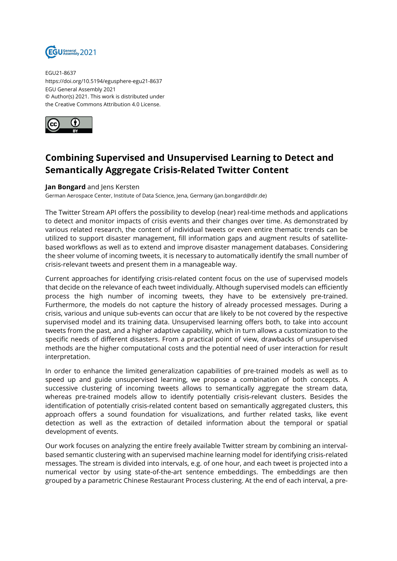

EGU21-8637 https://doi.org/10.5194/egusphere-egu21-8637 EGU General Assembly 2021 © Author(s) 2021. This work is distributed under the Creative Commons Attribution 4.0 License.



## **Combining Supervised and Unsupervised Learning to Detect and Semantically Aggregate Crisis-Related Twitter Content**

## **Jan Bongard** and Jens Kersten

German Aerospace Center, Institute of Data Science, Jena, Germany (jan.bongard@dlr.de)

The Twitter Stream API offers the possibility to develop (near) real-time methods and applications to detect and monitor impacts of crisis events and their changes over time. As demonstrated by various related research, the content of individual tweets or even entire thematic trends can be utilized to support disaster management, fill information gaps and augment results of satellitebased workflows as well as to extend and improve disaster management databases. Considering the sheer volume of incoming tweets, it is necessary to automatically identify the small number of crisis-relevant tweets and present them in a manageable way.

Current approaches for identifying crisis-related content focus on the use of supervised models that decide on the relevance of each tweet individually. Although supervised models can efficiently process the high number of incoming tweets, they have to be extensively pre-trained. Furthermore, the models do not capture the history of already processed messages. During a crisis, various and unique sub-events can occur that are likely to be not covered by the respective supervised model and its training data. Unsupervised learning offers both, to take into account tweets from the past, and a higher adaptive capability, which in turn allows a customization to the specific needs of different disasters. From a practical point of view, drawbacks of unsupervised methods are the higher computational costs and the potential need of user interaction for result interpretation.

In order to enhance the limited generalization capabilities of pre-trained models as well as to speed up and guide unsupervised learning, we propose a combination of both concepts. A successive clustering of incoming tweets allows to semantically aggregate the stream data, whereas pre-trained models allow to identify potentially crisis-relevant clusters. Besides the identification of potentially crisis-related content based on semantically aggregated clusters, this approach offers a sound foundation for visualizations, and further related tasks, like event detection as well as the extraction of detailed information about the temporal or spatial development of events.

Our work focuses on analyzing the entire freely available Twitter stream by combining an intervalbased semantic clustering with an supervised machine learning model for identifying crisis-related messages. The stream is divided into intervals, e.g. of one hour, and each tweet is projected into a numerical vector by using state-of-the-art sentence embeddings. The embeddings are then grouped by a parametric Chinese Restaurant Process clustering. At the end of each interval, a pre